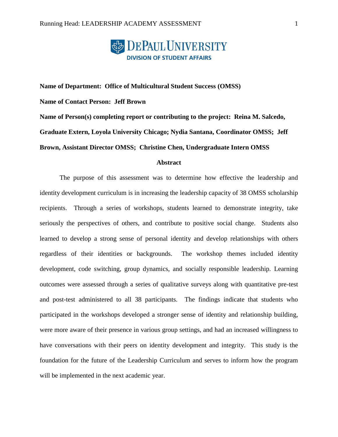

**Name of Department: Office of Multicultural Student Success (OMSS) Name of Contact Person: Jeff Brown Name of Person(s) completing report or contributing to the project: Reina M. Salcedo, Graduate Extern, Loyola University Chicago; Nydia Santana, Coordinator OMSS; Jeff Brown, Assistant Director OMSS; Christine Chen, Undergraduate Intern OMSS**

## **Abstract**

The purpose of this assessment was to determine how effective the leadership and identity development curriculum is in increasing the leadership capacity of 38 OMSS scholarship recipients. Through a series of workshops, students learned to demonstrate integrity, take seriously the perspectives of others, and contribute to positive social change. Students also learned to develop a strong sense of personal identity and develop relationships with others regardless of their identities or backgrounds. The workshop themes included identity development, code switching, group dynamics, and socially responsible leadership. Learning outcomes were assessed through a series of qualitative surveys along with quantitative pre-test and post-test administered to all 38 participants. The findings indicate that students who participated in the workshops developed a stronger sense of identity and relationship building, were more aware of their presence in various group settings, and had an increased willingness to have conversations with their peers on identity development and integrity. This study is the foundation for the future of the Leadership Curriculum and serves to inform how the program will be implemented in the next academic year.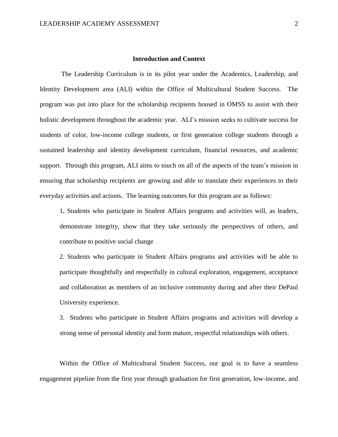### **Introduction and Context**

The Leadership Curriculum is in its pilot year under the Academics, Leadership, and Identity Development area (ALI) within the Office of Multicultural Student Success. The program was put into place for the scholarship recipients housed in OMSS to assist with their holistic development throughout the academic year. ALI's mission seeks to cultivate success for students of color, low-income college students, or first generation college students through a sustained leadership and identity development curriculum, financial resources, and academic support. Through this program, ALI aims to touch on all of the aspects of the team's mission in ensuring that scholarship recipients are growing and able to translate their experiences to their everyday activities and actions. The learning outcomes for this program are as follows:

1**.** Students who participate in Student Affairs programs and activities will, as leaders, demonstrate integrity, show that they take seriously the perspectives of others, and contribute to positive social change

2. Students who participate in Student Affairs programs and activities will be able to participate thoughtfully and respectfully in cultural exploration, engagement, acceptance and collaboration as members of an inclusive community during and after their DePaul University experience.

3. Students who participate in Student Affairs programs and activities will develop a strong sense of personal identity and form mature, respectful relationships with others.

Within the Office of Multicultural Student Success, our goal is to have a seamless engagement pipeline from the first year through graduation for first generation, low-income, and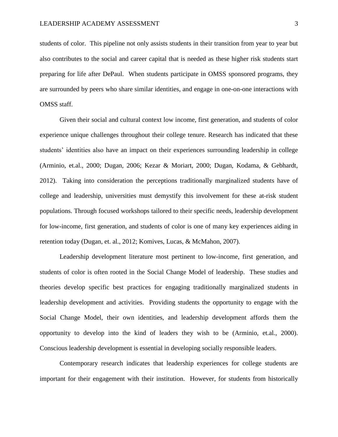students of color. This pipeline not only assists students in their transition from year to year but also contributes to the social and career capital that is needed as these higher risk students start preparing for life after DePaul. When students participate in OMSS sponsored programs, they are surrounded by peers who share similar identities, and engage in one-on-one interactions with OMSS staff.

Given their social and cultural context low income, first generation, and students of color experience unique challenges throughout their college tenure. Research has indicated that these students' identities also have an impact on their experiences surrounding leadership in college (Arminio, et.al., 2000; Dugan, 2006; Kezar & Moriart, 2000; Dugan, Kodama, & Gebhardt, 2012). Taking into consideration the perceptions traditionally marginalized students have of college and leadership, universities must demystify this involvement for these at-risk student populations. Through focused workshops tailored to their specific needs, leadership development for low-income, first generation, and students of color is one of many key experiences aiding in retention today (Dugan, et. al., 2012; Komives, Lucas, & McMahon, 2007).

Leadership development literature most pertinent to low-income, first generation, and students of color is often rooted in the Social Change Model of leadership. These studies and theories develop specific best practices for engaging traditionally marginalized students in leadership development and activities. Providing students the opportunity to engage with the Social Change Model, their own identities, and leadership development affords them the opportunity to develop into the kind of leaders they wish to be (Arminio, et.al., 2000). Conscious leadership development is essential in developing socially responsible leaders.

Contemporary research indicates that leadership experiences for college students are important for their engagement with their institution. However, for students from historically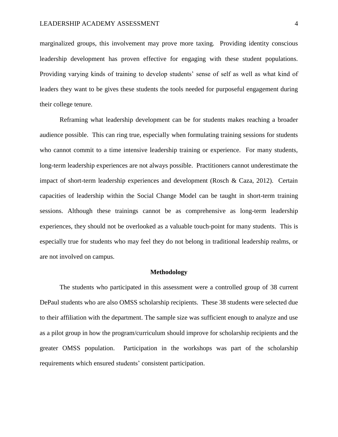marginalized groups, this involvement may prove more taxing. Providing identity conscious leadership development has proven effective for engaging with these student populations. Providing varying kinds of training to develop students' sense of self as well as what kind of leaders they want to be gives these students the tools needed for purposeful engagement during their college tenure.

Reframing what leadership development can be for students makes reaching a broader audience possible. This can ring true, especially when formulating training sessions for students who cannot commit to a time intensive leadership training or experience. For many students, long-term leadership experiences are not always possible. Practitioners cannot underestimate the impact of short-term leadership experiences and development (Rosch & Caza, 2012). Certain capacities of leadership within the Social Change Model can be taught in short-term training sessions. Although these trainings cannot be as comprehensive as long-term leadership experiences, they should not be overlooked as a valuable touch-point for many students. This is especially true for students who may feel they do not belong in traditional leadership realms, or are not involved on campus.

### **Methodology**

The students who participated in this assessment were a controlled group of 38 current DePaul students who are also OMSS scholarship recipients. These 38 students were selected due to their affiliation with the department. The sample size was sufficient enough to analyze and use as a pilot group in how the program/curriculum should improve for scholarship recipients and the greater OMSS population. Participation in the workshops was part of the scholarship requirements which ensured students' consistent participation.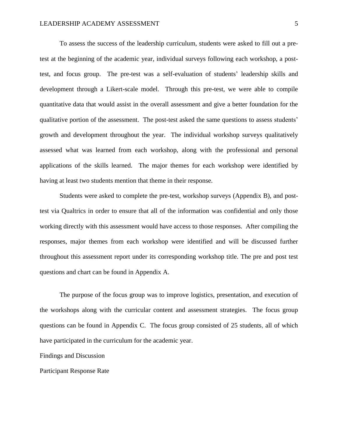To assess the success of the leadership curriculum, students were asked to fill out a pretest at the beginning of the academic year, individual surveys following each workshop, a posttest, and focus group. The pre-test was a self-evaluation of students' leadership skills and development through a Likert-scale model. Through this pre-test, we were able to compile quantitative data that would assist in the overall assessment and give a better foundation for the qualitative portion of the assessment. The post-test asked the same questions to assess students' growth and development throughout the year. The individual workshop surveys qualitatively assessed what was learned from each workshop, along with the professional and personal applications of the skills learned. The major themes for each workshop were identified by having at least two students mention that theme in their response.

Students were asked to complete the pre-test, workshop surveys (Appendix B), and posttest via Qualtrics in order to ensure that all of the information was confidential and only those working directly with this assessment would have access to those responses. After compiling the responses, major themes from each workshop were identified and will be discussed further throughout this assessment report under its corresponding workshop title. The pre and post test questions and chart can be found in Appendix A.

The purpose of the focus group was to improve logistics, presentation, and execution of the workshops along with the curricular content and assessment strategies. The focus group questions can be found in Appendix C. The focus group consisted of 25 students, all of which have participated in the curriculum for the academic year.

Findings and Discussion

Participant Response Rate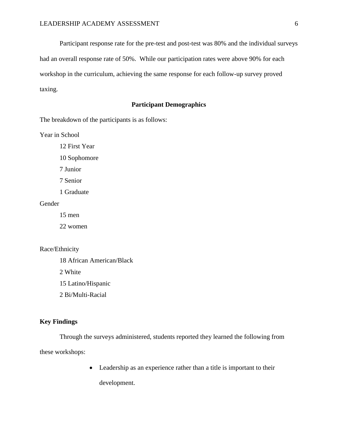Participant response rate for the pre-test and post-test was 80% and the individual surveys had an overall response rate of 50%. While our participation rates were above 90% for each workshop in the curriculum, achieving the same response for each follow-up survey proved taxing.

# **Participant Demographics**

The breakdown of the participants is as follows:

Year in School

12 First Year

10 Sophomore

7 Junior

7 Senior

1 Graduate

Gender

15 men

22 women

# Race/Ethnicity

18 African American/Black

2 White

15 Latino/Hispanic

2 Bi/Multi-Racial

## **Key Findings**

Through the surveys administered, students reported they learned the following from these workshops:

> Leadership as an experience rather than a title is important to their development.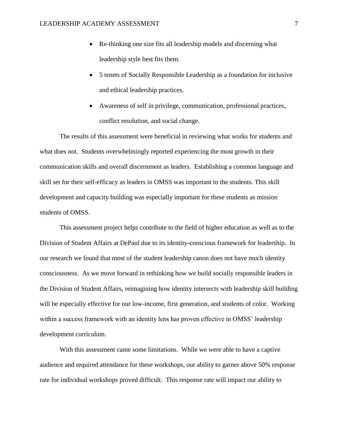- Re-thinking one size fits all leadership models and discerning what leadership style best fits them.
- 5 tenets of Socially Responsible Leadership as a foundation for inclusive and ethical leadership practices.
- Awareness of self in privilege, communication, professional practices, conflict resolution, and social change.

The results of this assessment were beneficial in reviewing what works for students and what does not. Students overwhelmingly reported experiencing the most growth in their communication skills and overall discernment as leaders. Establishing a common language and skill set for their self-efficacy as leaders in OMSS was important to the students. This skill development and capacity building was especially important for these students as mission students of OMSS.

This assessment project helps contribute to the field of higher education as well as to the Division of Student Affairs at DePaul due to its identity-conscious framework for leadership. In our research we found that most of the student leadership canon does not have much identity consciousness. As we move forward in rethinking how we build socially responsible leaders in the Division of Student Affairs, reimagining how identity intersects with leadership skill building will be especially effective for our low-income, first generation, and students of color. Working within a success framework with an identity lens has proven effective in OMSS' leadership development curriculum.

With this assessment came some limitations. While we were able to have a captive audience and required attendance for these workshops, our ability to garner above 50% response rate for individual workshops proved difficult. This response rate will impact our ability to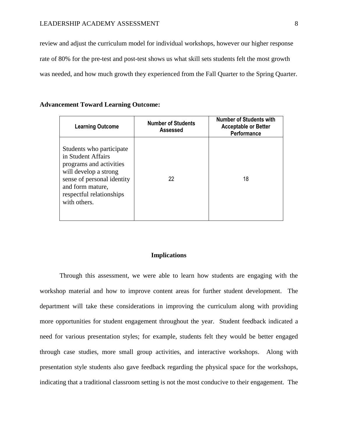review and adjust the curriculum model for individual workshops, however our higher response rate of 80% for the pre-test and post-test shows us what skill sets students felt the most growth was needed, and how much growth they experienced from the Fall Quarter to the Spring Quarter.

### **Advancement Toward Learning Outcome:**

| <b>Learning Outcome</b>                                                                                                                                                                          | <b>Number of Students</b><br>Assessed | <b>Number of Students with</b><br><b>Acceptable or Better</b><br>Performance |
|--------------------------------------------------------------------------------------------------------------------------------------------------------------------------------------------------|---------------------------------------|------------------------------------------------------------------------------|
| Students who participate<br>in Student Affairs<br>programs and activities<br>will develop a strong<br>sense of personal identity<br>and form mature,<br>respectful relationships<br>with others. | 22                                    | 18                                                                           |

#### **Implications**

Through this assessment, we were able to learn how students are engaging with the workshop material and how to improve content areas for further student development. The department will take these considerations in improving the curriculum along with providing more opportunities for student engagement throughout the year. Student feedback indicated a need for various presentation styles; for example, students felt they would be better engaged through case studies, more small group activities, and interactive workshops. Along with presentation style students also gave feedback regarding the physical space for the workshops, indicating that a traditional classroom setting is not the most conducive to their engagement. The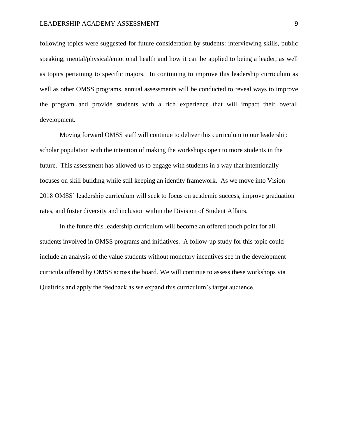### LEADERSHIP ACADEMY ASSESSMENT 9

following topics were suggested for future consideration by students: interviewing skills, public speaking, mental/physical/emotional health and how it can be applied to being a leader, as well as topics pertaining to specific majors. In continuing to improve this leadership curriculum as well as other OMSS programs, annual assessments will be conducted to reveal ways to improve the program and provide students with a rich experience that will impact their overall development.

Moving forward OMSS staff will continue to deliver this curriculum to our leadership scholar population with the intention of making the workshops open to more students in the future. This assessment has allowed us to engage with students in a way that intentionally focuses on skill building while still keeping an identity framework. As we move into Vision 2018 OMSS' leadership curriculum will seek to focus on academic success, improve graduation rates, and foster diversity and inclusion within the Division of Student Affairs.

In the future this leadership curriculum will become an offered touch point for all students involved in OMSS programs and initiatives. A follow-up study for this topic could include an analysis of the value students without monetary incentives see in the development curricula offered by OMSS across the board. We will continue to assess these workshops via Qualtrics and apply the feedback as we expand this curriculum's target audience.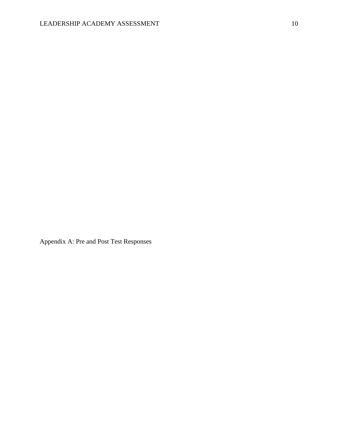Appendix A: Pre and Post Test Responses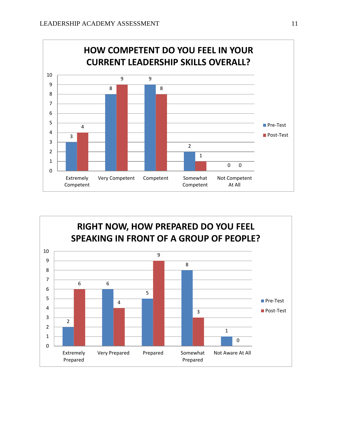

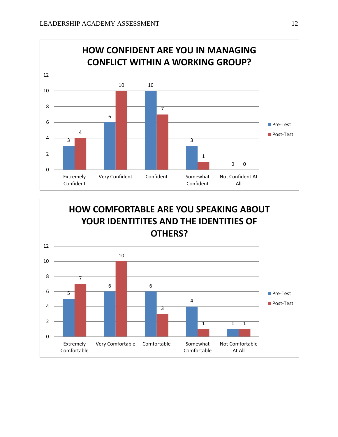

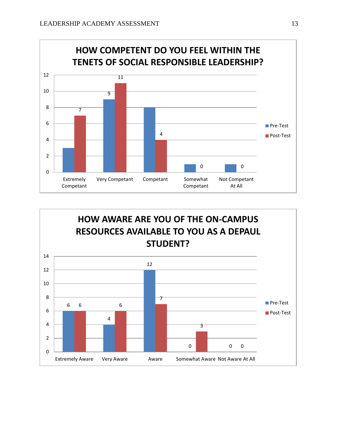

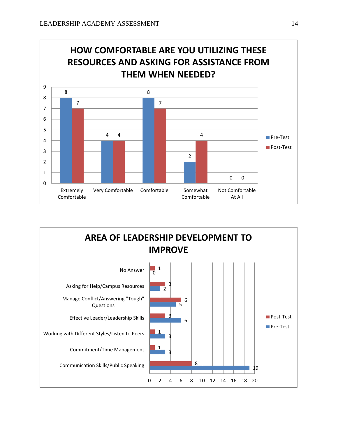

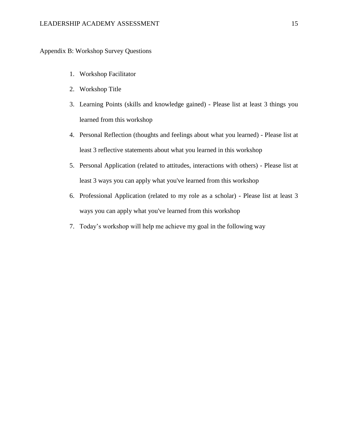Appendix B: Workshop Survey Questions

- 1. Workshop Facilitator
- 2. Workshop Title
- 3. Learning Points (skills and knowledge gained) Please list at least 3 things you learned from this workshop
- 4. Personal Reflection (thoughts and feelings about what you learned) Please list at least 3 reflective statements about what you learned in this workshop
- 5. Personal Application (related to attitudes, interactions with others) Please list at least 3 ways you can apply what you've learned from this workshop
- 6. Professional Application (related to my role as a scholar) Please list at least 3 ways you can apply what you've learned from this workshop
- 7. Today's workshop will help me achieve my goal in the following way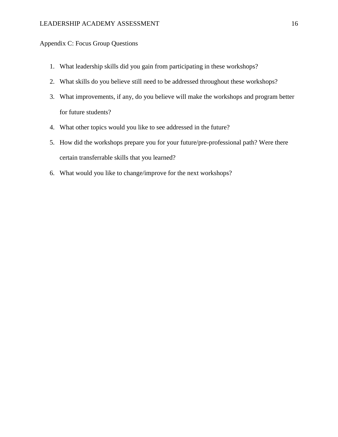# Appendix C: Focus Group Questions

- 1. What leadership skills did you gain from participating in these workshops?
- 2. What skills do you believe still need to be addressed throughout these workshops?
- 3. What improvements, if any, do you believe will make the workshops and program better for future students?
- 4. What other topics would you like to see addressed in the future?
- 5. How did the workshops prepare you for your future/pre-professional path? Were there certain transferrable skills that you learned?
- 6. What would you like to change/improve for the next workshops?